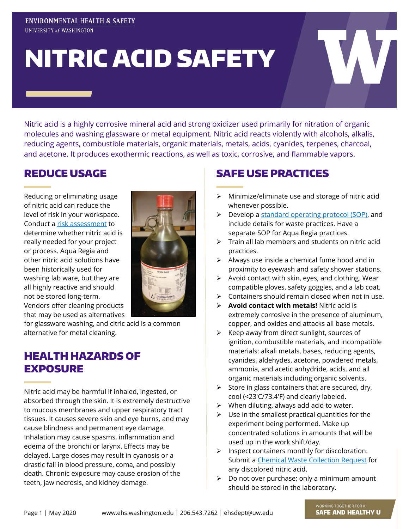#### ENVIRONMENTAL HEALTH & SAFETY UNIVERSITY of WASHINGTON

# NITRIC ACID SAFETY

Nitric acid is a highly corrosive mineral acid and strong oxidizer used primarily for nitration of organic molecules and washing glassware or metal equipment. Nitric acid reacts violently with alcohols, alkalis, reducing agents, combustible materials, organic materials, metals, acids, cyanides, terpenes, charcoal, and acetone. It produces exothermic reactions, as well as toxic, corrosive, and flammable vapors.

#### REDUCE USAGE

Reducing or eliminating usage of nitric acid can reduce the level of risk in your workspace. Conduct a [risk assessment](https://www.ehs.washington.edu/resource/laboratory-risk-assessment-tool-lab-rat-843) to determine whether nitric acid is really needed for your project or process. Aqua Regia and other nitric acid solutions have been historically used for washing lab ware, but they are all highly reactive and should not be stored long-term. Vendors offer cleaning products that may be used as alternatives



for glassware washing, and citric acid is a common alternative for metal cleaning.

#### HEALTH HAZARDS OF EXPOSURE

Nitric acid may be harmful if inhaled, ingested, or absorbed through the skin. It is extremely destructive to mucous membranes and upper respiratory tract tissues. It causes severe skin and eye burns, and may cause blindness and permanent eye damage. Inhalation may cause spasms, inflammation and edema of the bronchi or larynx. Effects may be delayed. Large doses may result in cyanosis or a drastic fall in blood pressure, coma, and possibly death. Chronic exposure may cause erosion of the teeth, jaw necrosis, and kidney damage.

## SAFE USE PRACTICES

- $\triangleright$  Minimize/eliminate use and storage of nitric acid whenever possible.
- $\triangleright$  Develop a [standard operating protocol \(SOP\),](https://www.ehs.washington.edu/resource/nitric-acid-sop-685) and include details for waste practices. Have a separate SOP for Aqua Regia practices.
- $\triangleright$  Train all lab members and students on nitric acid practices.
- $\triangleright$  Always use inside a chemical fume hood and in proximity to eyewash and safety shower stations.
- $\triangleright$  Avoid contact with skin, eyes, and clothing. Wear compatible gloves, safety goggles, and a lab coat.
- $\triangleright$  Containers should remain closed when not in use.
- **Avoid contact with metals!** Nitric acid is extremely corrosive in the presence of aluminum, copper, and oxides and attacks all base metals.
- $\triangleright$  Keep away from direct sunlight, sources of ignition, combustible materials, and incompatible materials: alkali metals, bases, reducing agents, cyanides, aldehydes, acetone, powdered metals, ammonia, and acetic anhydride, acids, and all organic materials including organic solvents.
- $\triangleright$  Store in glass containers that are secured, dry, cool (<23'C/73.4'F) and clearly labeled.
- $\triangleright$  When diluting, always add acid to water.
- $\triangleright$  Use in the smallest practical quantities for the experiment being performed. Make up concentrated solutions in amounts that will be used up in the work shift/day.
- $\triangleright$  Inspect containers monthly for discoloration. Submit a [Chemical Waste Collection Request](https://www.ehs.washington.edu/chemical/hazardous-chemical-waste-disposal) for any discolored nitric acid.
- $\triangleright$  Do not over purchase; only a minimum amount should be stored in the laboratory.